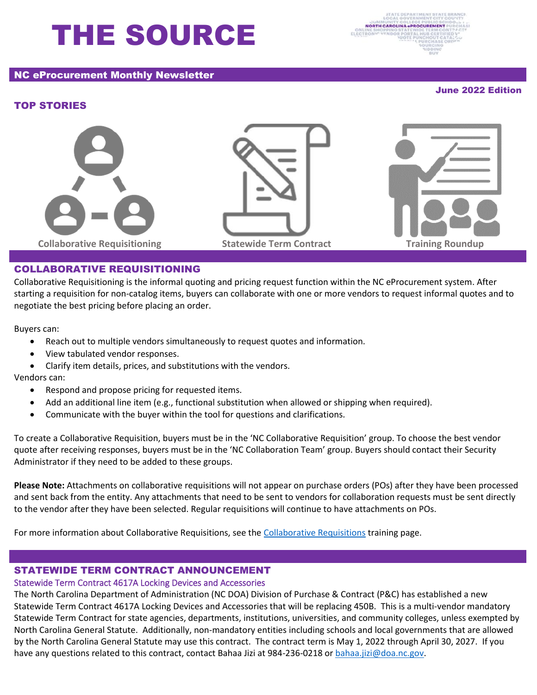# THE SOURCE

# NC eProcurement Monthly Newsletter

June 2022 Edition

# TOP STORIES







# COLLABORATIVE REQUISITIONING

Collaborative Requisitioning is the informal quoting and pricing request function within the NC eProcurement system. After starting a requisition for non-catalog items, buyers can collaborate with one or more vendors to request informal quotes and to negotiate the best pricing before placing an order.

Buyers can:

- Reach out to multiple vendors simultaneously to request quotes and information.
- View tabulated vendor responses.
- Clarify item details, prices, and substitutions with the vendors.

#### Vendors can:

- Respond and propose pricing for requested items.
- Add an additional line item (e.g., functional substitution when allowed or shipping when required).
- Communicate with the buyer within the tool for questions and clarifications.

To create a Collaborative Requisition, buyers must be in the 'NC Collaborative Requisition' group. To choose the best vendor quote after receiving responses, buyers must be in the 'NC Collaboration Team' group. Buyers should contact their Security Administrator if they need to be added to these groups.

**Please Note:** Attachments on collaborative requisitions will not appear on purchase orders (POs) after they have been processed and sent back from the entity. Any attachments that need to be sent to vendors for collaboration requests must be sent directly to the vendor after they have been selected. Regular requisitions will continue to have attachments on POs.

For more information about Collaborative Requisitions, see the [Collaborative Requisitions](https://eprocurement.nc.gov/training/buyer-training/collaborative-requisitions) training page.

### STATEWIDE TERM CONTRACT ANNOUNCEMENT

# Statewide Term Contract 4617A Locking Devices and Accessories

The North Carolina Department of Administration (NC DOA) Division of Purchase & Contract (P&C) has established a new Statewide Term Contract 4617A Locking Devices and Accessories that will be replacing 450B. This is a multi-vendor mandatory Statewide Term Contract for state agencies, departments, institutions, universities, and community colleges, unless exempted by North Carolina General Statute. Additionally, non-mandatory entities including schools and local governments that are allowed by the North Carolina General Statute may use this contract. The contract term is May 1, 2022 through April 30, 2027. If you have any questions related to this contract, contact Bahaa Jizi at 984-236-0218 or [bahaa.jizi@doa.nc.gov.](mailto:bahaa.jizi@doa.nc.gov)